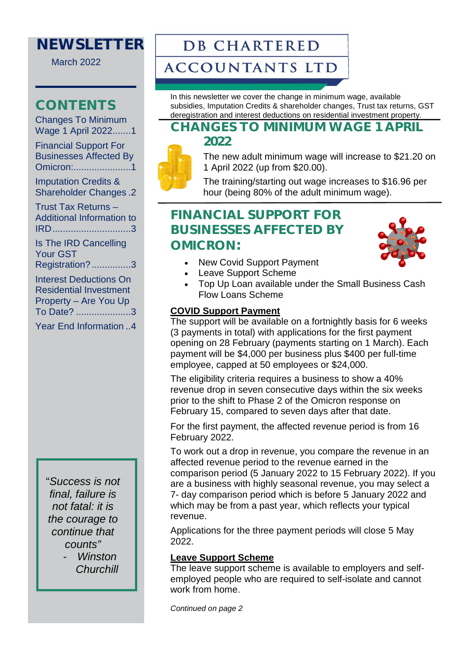## **NEWSLETTER**

March 2022

## **CONTENTS**

[Changes To Minimum](#page-0-0)  Wage 1 April 2022.......1

[Financial Support For](#page-0-1)  [Businesses Affected By](#page-0-1)  [Omicron:...................... 1](#page-0-1)

[Imputation Credits &](#page-1-0)  [Shareholder Changes . 2](#page-1-0)

[Trust Tax Returns –](#page-2-0)  [Additional Information to](#page-2-0)  [IRD .............................. 3](#page-2-0)

[Is The IRD Cancelling](#page-2-1)  [Your GST](#page-2-1) 

[Registration? ............... 3](#page-2-1)

[Interest Deductions On](#page-2-2)  [Residential Investment](#page-2-2)  [Property – Are You Up](#page-2-2)  [To Date? ..................... 3](#page-2-2)

[Year End Information .. 4](#page-3-0)

"*Success is not final, failure is not fatal: it is the courage to continue that counts"* 

> - *Winston Churchill*

# **DB CHARTERED**

## **ACCOUNTANTS LTD**

In this newsletter we cover the change in minimum wage, available subsidies, Imputation Credits & shareholder changes, Trust tax returns, GST deregistration and interest deductions on residential investment property.

### <span id="page-0-0"></span>**CHANGES TO MINIMUM WAGE 1 APRIL 2022**



The new adult minimum wage will increase to \$21.20 on 1 April 2022 (up from \$20.00).

The training/starting out wage increases to \$16.96 per hour (being 80% of the adult minimum wage).

## <span id="page-0-1"></span>**FINANCIAL SUPPORT FOR BUSINESSES AFFECTED BY OMICRON:**



- New Covid Support Payment
- Leave Support Scheme
- Top Up Loan available under the Small Business Cash Flow Loans Scheme

### **COVID Support Payment**

The support will be available on a fortnightly basis for 6 weeks (3 payments in total) with applications for the first payment opening on 28 February (payments starting on 1 March). Each payment will be \$4,000 per business plus \$400 per full-time employee, capped at 50 employees or \$24,000.

The eligibility criteria requires a business to show a 40% revenue drop in seven consecutive days within the six weeks prior to the shift to Phase 2 of the Omicron response on February 15, compared to seven days after that date.

For the first payment, the affected revenue period is from 16 February 2022.

To work out a drop in revenue, you compare the revenue in an affected revenue period to the revenue earned in the comparison period (5 January 2022 to 15 February 2022). If you are a business with highly seasonal revenue, you may select a 7- day comparison period which is before 5 January 2022 and which may be from a past year, which reflects your typical revenue.

Applications for the three payment periods will close 5 May 2022.

### **Leave Support Scheme**

The leave support scheme is available to employers and selfemployed people who are required to self-isolate and cannot work from home.

*Continued on page 2*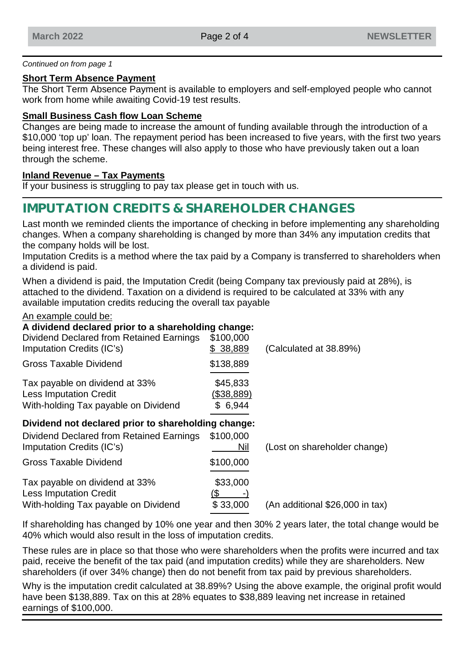#### *Continued on from page 1*

#### **Short Term Absence Payment**

The Short Term Absence Payment is available to employers and self-employed people who cannot work from home while awaiting Covid-19 test results.

### **Small Business Cash flow Loan Scheme**

Changes are being made to increase the amount of funding available through the introduction of a \$10,000 'top up' loan. The repayment period has been increased to five years, with the first two years being interest free. These changes will also apply to those who have previously taken out a loan through the scheme.

### **Inland Revenue – Tax Payments**

If your business is struggling to pay tax please get in touch with us.

### <span id="page-1-0"></span>**IMPUTATION CREDITS & SHAREHOLDER CHANGES**

Last month we reminded clients the importance of checking in before implementing any shareholding changes. When a company shareholding is changed by more than 34% any imputation credits that the company holds will be lost.

Imputation Credits is a method where the tax paid by a Company is transferred to shareholders when a dividend is paid.

When a dividend is paid, the Imputation Credit (being Company tax previously paid at 28%), is attached to the dividend. Taxation on a dividend is required to be calculated at 33% with any available imputation credits reducing the overall tax payable

#### An example could be:

### **A dividend declared prior to a shareholding change:**

| \$100,000<br>\$38,889             | (Calculated at 38.89%)                              |
|-----------------------------------|-----------------------------------------------------|
| \$138,889                         |                                                     |
| \$45,833<br>(\$38,889)<br>\$6,944 |                                                     |
|                                   |                                                     |
| \$100,000<br>Nil                  | (Lost on shareholder change)                        |
| \$100,000                         |                                                     |
| \$33,000<br>\$33,000              | (An additional \$26,000 in tax)                     |
|                                   | Dividend not declared prior to shareholding change: |

If shareholding has changed by 10% one year and then 30% 2 years later, the total change would be 40% which would also result in the loss of imputation credits.

These rules are in place so that those who were shareholders when the profits were incurred and tax paid, receive the benefit of the tax paid (and imputation credits) while they are shareholders. New shareholders (if over 34% change) then do not benefit from tax paid by previous shareholders.

Why is the imputation credit calculated at 38.89%? Using the above example, the original profit would have been \$138,889. Tax on this at 28% equates to \$38,889 leaving net increase in retained earnings of \$100,000.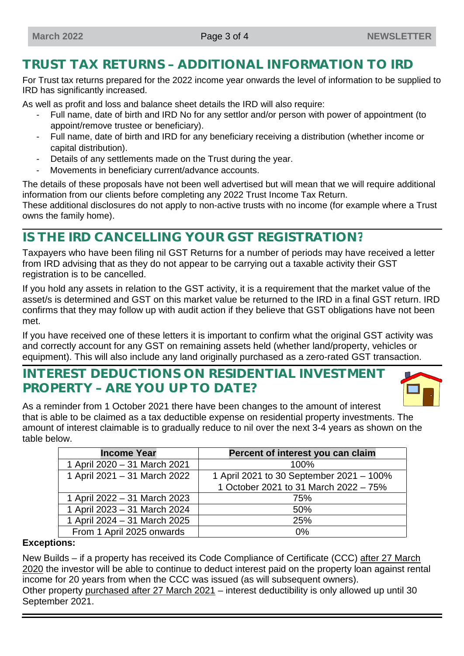## <span id="page-2-0"></span>**TRUST TAX RETURNS – ADDITIONAL INFORMATION TO IRD**

For Trust tax returns prepared for the 2022 income year onwards the level of information to be supplied to IRD has significantly increased.

As well as profit and loss and balance sheet details the IRD will also require:

- Full name, date of birth and IRD No for any settlor and/or person with power of appointment (to appoint/remove trustee or beneficiary).
- Full name, date of birth and IRD for any beneficiary receiving a distribution (whether income or capital distribution).
- Details of any settlements made on the Trust during the year.
- Movements in beneficiary current/advance accounts.

The details of these proposals have not been well advertised but will mean that we will require additional information from our clients before completing any 2022 Trust Income Tax Return.

These additional disclosures do not apply to non-active trusts with no income (for example where a Trust owns the family home).

## <span id="page-2-1"></span>**IS THE IRD CANCELLING YOUR GST REGISTRATION?**

Taxpayers who have been filing nil GST Returns for a number of periods may have received a letter from IRD advising that as they do not appear to be carrying out a taxable activity their GST registration is to be cancelled.

If you hold any assets in relation to the GST activity, it is a requirement that the market value of the asset/s is determined and GST on this market value be returned to the IRD in a final GST return. IRD confirms that they may follow up with audit action if they believe that GST obligations have not been met.

If you have received one of these letters it is important to confirm what the original GST activity was and correctly account for any GST on remaining assets held (whether land/property, vehicles or equipment). This will also include any land originally purchased as a zero-rated GST transaction.

### <span id="page-2-2"></span>**INTEREST DEDUCTIONS ON RESIDENTIAL INVESTMENT PROPERTY – ARE YOU UP TO DATE?**



As a reminder from 1 October 2021 there have been changes to the amount of interest that is able to be claimed as a tax deductible expense on residential property investments. The amount of interest claimable is to gradually reduce to nil over the next 3-4 years as shown on the table below.

| <b>Income Year</b>           | Percent of interest you can claim        |
|------------------------------|------------------------------------------|
| 1 April 2020 - 31 March 2021 | $100\%$                                  |
| 1 April 2021 - 31 March 2022 | 1 April 2021 to 30 September 2021 - 100% |
|                              | 1 October 2021 to 31 March 2022 - 75%    |
| 1 April 2022 - 31 March 2023 | 75%                                      |
| 1 April 2023 - 31 March 2024 | 50%                                      |
| 1 April 2024 - 31 March 2025 | 25%                                      |
| From 1 April 2025 onwards    | 0%                                       |

### **Exceptions:**

New Builds – if a property has received its Code Compliance of Certificate (CCC) after 27 March 2020 the investor will be able to continue to deduct interest paid on the property loan against rental income for 20 years from when the CCC was issued (as will subsequent owners). Other property purchased after 27 March 2021 – interest deductibility is only allowed up until 30 September 2021.